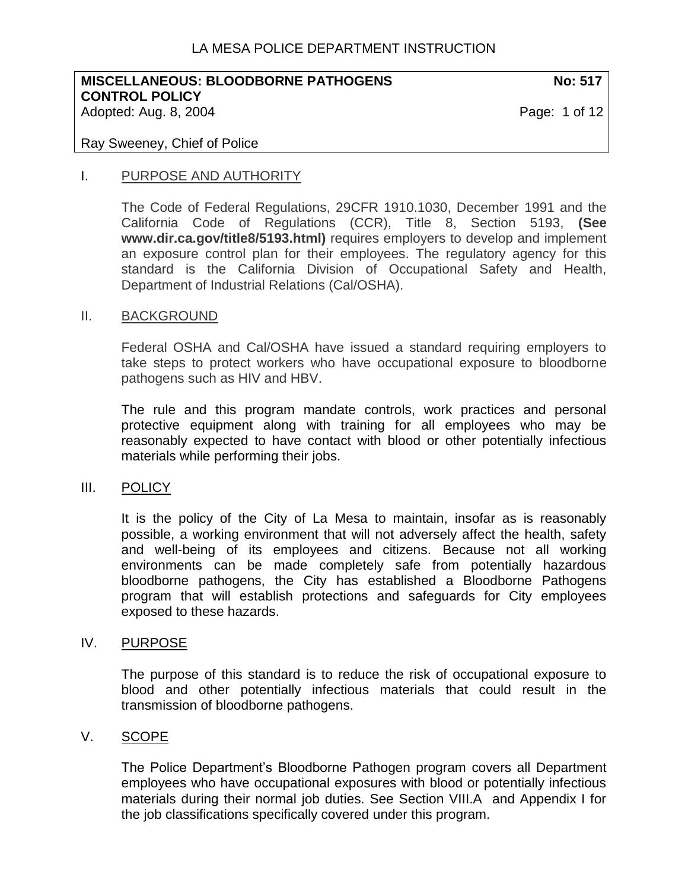# LA MESA POLICE DEPARTMENT INSTRUCTION

#### **MISCELLANEOUS: BLOODBORNE PATHOGENS NO: 517 CONTROL POLICY**  Adopted: Aug. 8, 2004 **Page: 1 of 12**

#### Ray Sweeney, Chief of Police

#### I. PURPOSE AND AUTHORITY

The Code of Federal Regulations, 29CFR 1910.1030, December 1991 and the California Code of Regulations (CCR), Title 8, Section 5193, **(See www.dir.ca.gov/title8/5193.html)** requires employers to develop and implement an exposure control plan for their employees. The regulatory agency for this standard is the California Division of Occupational Safety and Health, Department of Industrial Relations (Cal/OSHA).

#### II. BACKGROUND

Federal OSHA and Cal/OSHA have issued a standard requiring employers to take steps to protect workers who have occupational exposure to bloodborne pathogens such as HIV and HBV.

The rule and this program mandate controls, work practices and personal protective equipment along with training for all employees who may be reasonably expected to have contact with blood or other potentially infectious materials while performing their jobs.

#### III. POLICY

It is the policy of the City of La Mesa to maintain, insofar as is reasonably possible, a working environment that will not adversely affect the health, safety and well-being of its employees and citizens. Because not all working environments can be made completely safe from potentially hazardous bloodborne pathogens, the City has established a Bloodborne Pathogens program that will establish protections and safeguards for City employees exposed to these hazards.

#### IV. PURPOSE

The purpose of this standard is to reduce the risk of occupational exposure to blood and other potentially infectious materials that could result in the transmission of bloodborne pathogens.

## V. SCOPE

The Police Department's Bloodborne Pathogen program covers all Department employees who have occupational exposures with blood or potentially infectious materials during their normal job duties. See Section VIII.A and Appendix I for the job classifications specifically covered under this program.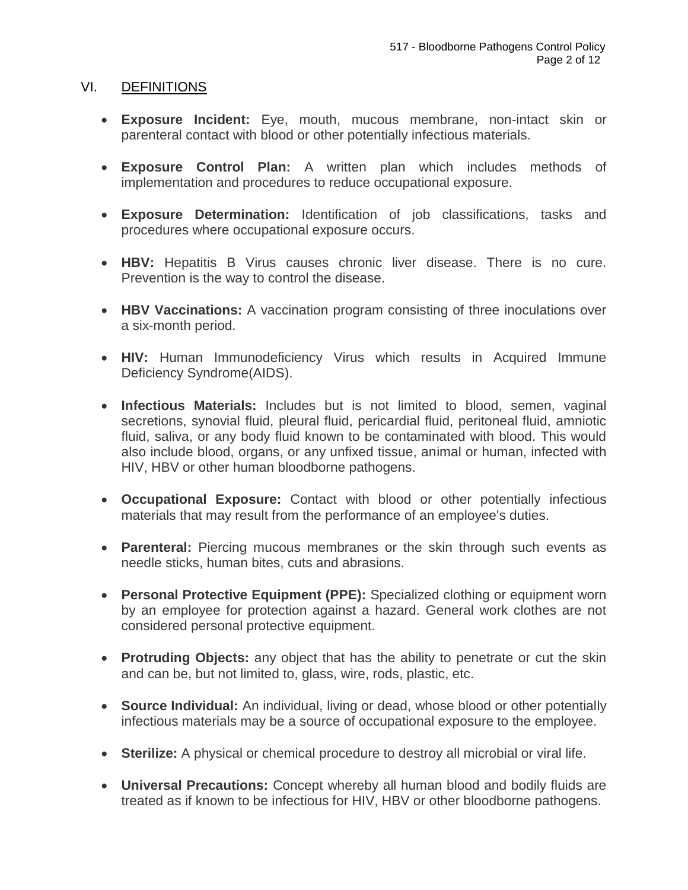#### VI. DEFINITIONS

- **Exposure Incident:** Eye, mouth, mucous membrane, non-intact skin or parenteral contact with blood or other potentially infectious materials.
- **Exposure Control Plan:** A written plan which includes methods of implementation and procedures to reduce occupational exposure.
- **Exposure Determination:** Identification of job classifications, tasks and procedures where occupational exposure occurs.
- **HBV:** Hepatitis B Virus causes chronic liver disease. There is no cure. Prevention is the way to control the disease.
- **HBV Vaccinations:** A vaccination program consisting of three inoculations over a six-month period.
- **HIV:** Human Immunodeficiency Virus which results in Acquired Immune Deficiency Syndrome(AIDS).
- **Infectious Materials:** Includes but is not limited to blood, semen, vaginal secretions, synovial fluid, pleural fluid, pericardial fluid, peritoneal fluid, amniotic fluid, saliva, or any body fluid known to be contaminated with blood. This would also include blood, organs, or any unfixed tissue, animal or human, infected with HIV, HBV or other human bloodborne pathogens.
- **Occupational Exposure:** Contact with blood or other potentially infectious materials that may result from the performance of an employee's duties.
- **Parenteral:** Piercing mucous membranes or the skin through such events as needle sticks, human bites, cuts and abrasions.
- **Personal Protective Equipment (PPE):** Specialized clothing or equipment worn by an employee for protection against a hazard. General work clothes are not considered personal protective equipment.
- **Protruding Objects:** any object that has the ability to penetrate or cut the skin and can be, but not limited to, glass, wire, rods, plastic, etc.
- **Source Individual:** An individual, living or dead, whose blood or other potentially infectious materials may be a source of occupational exposure to the employee.
- **Sterilize:** A physical or chemical procedure to destroy all microbial or viral life.
- **Universal Precautions:** Concept whereby all human blood and bodily fluids are treated as if known to be infectious for HIV, HBV or other bloodborne pathogens.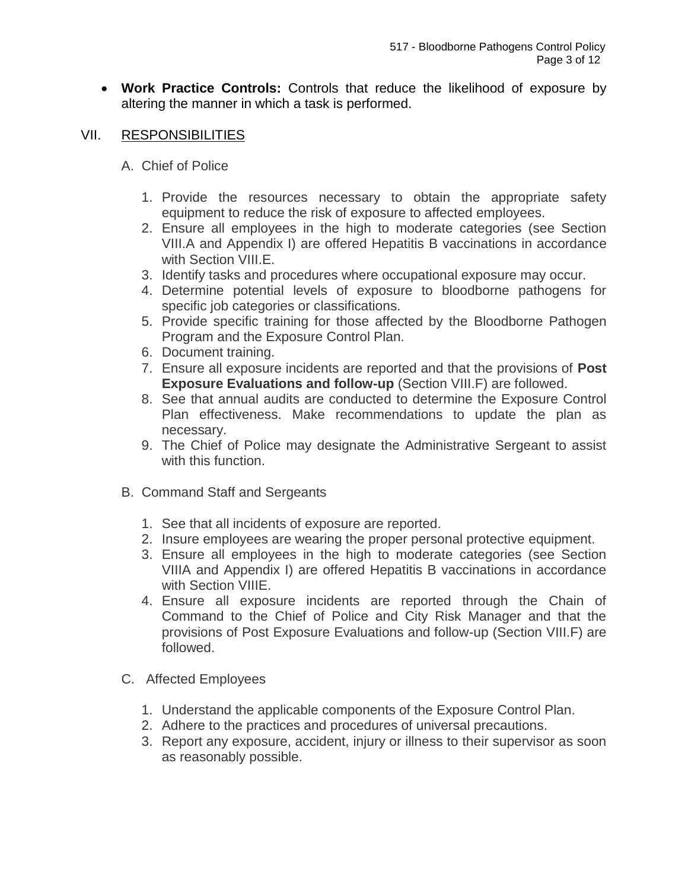• **Work Practice Controls:** Controls that reduce the likelihood of exposure by altering the manner in which a task is performed.

## VII. RESPONSIBILITIES

- A. Chief of Police
	- 1. Provide the resources necessary to obtain the appropriate safety equipment to reduce the risk of exposure to affected employees.
	- 2. Ensure all employees in the high to moderate categories (see Section VIII.A and Appendix I) are offered Hepatitis B vaccinations in accordance with Section VIII.E.
	- 3. Identify tasks and procedures where occupational exposure may occur.
	- 4. Determine potential levels of exposure to bloodborne pathogens for specific job categories or classifications.
	- 5. Provide specific training for those affected by the Bloodborne Pathogen Program and the Exposure Control Plan.
	- 6. Document training.
	- 7. Ensure all exposure incidents are reported and that the provisions of **Post Exposure Evaluations and follow-up** (Section VIII.F) are followed.
	- 8. See that annual audits are conducted to determine the Exposure Control Plan effectiveness. Make recommendations to update the plan as necessary.
	- 9. The Chief of Police may designate the Administrative Sergeant to assist with this function.
- B. Command Staff and Sergeants
	- 1. See that all incidents of exposure are reported.
	- 2. Insure employees are wearing the proper personal protective equipment.
	- 3. Ensure all employees in the high to moderate categories (see Section VIIIA and Appendix I) are offered Hepatitis B vaccinations in accordance with Section VIIIE.
	- 4. Ensure all exposure incidents are reported through the Chain of Command to the Chief of Police and City Risk Manager and that the provisions of Post Exposure Evaluations and follow-up (Section VIII.F) are followed.
- C. Affected Employees
	- 1. Understand the applicable components of the Exposure Control Plan.
	- 2. Adhere to the practices and procedures of universal precautions.
	- 3. Report any exposure, accident, injury or illness to their supervisor as soon as reasonably possible.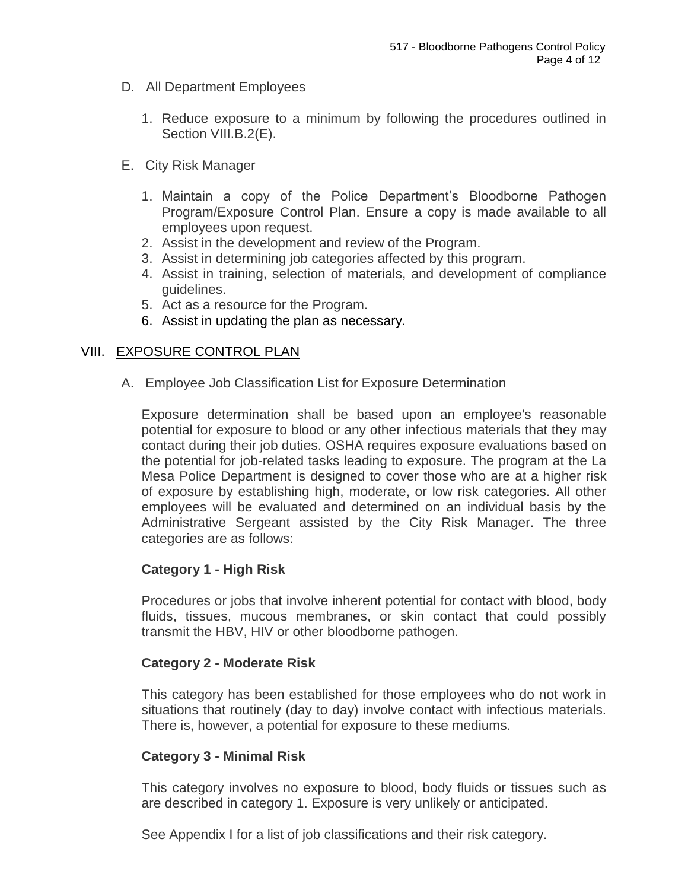- D. All Department Employees
	- 1. Reduce exposure to a minimum by following the procedures outlined in Section VIII.B.2(E).
- E. City Risk Manager
	- 1. Maintain a copy of the Police Department's Bloodborne Pathogen Program/Exposure Control Plan. Ensure a copy is made available to all employees upon request.
	- 2. Assist in the development and review of the Program.
	- 3. Assist in determining job categories affected by this program.
	- 4. Assist in training, selection of materials, and development of compliance guidelines.
	- 5. Act as a resource for the Program.
	- 6. Assist in updating the plan as necessary.

## VIII. EXPOSURE CONTROL PLAN

A. Employee Job Classification List for Exposure Determination

Exposure determination shall be based upon an employee's reasonable potential for exposure to blood or any other infectious materials that they may contact during their job duties. OSHA requires exposure evaluations based on the potential for job-related tasks leading to exposure. The program at the La Mesa Police Department is designed to cover those who are at a higher risk of exposure by establishing high, moderate, or low risk categories. All other employees will be evaluated and determined on an individual basis by the Administrative Sergeant assisted by the City Risk Manager. The three categories are as follows:

## **Category 1 - High Risk**

Procedures or jobs that involve inherent potential for contact with blood, body fluids, tissues, mucous membranes, or skin contact that could possibly transmit the HBV, HIV or other bloodborne pathogen.

## **Category 2 - Moderate Risk**

This category has been established for those employees who do not work in situations that routinely (day to day) involve contact with infectious materials. There is, however, a potential for exposure to these mediums.

## **Category 3 - Minimal Risk**

This category involves no exposure to blood, body fluids or tissues such as are described in category 1. Exposure is very unlikely or anticipated.

See Appendix I for a list of job classifications and their risk category.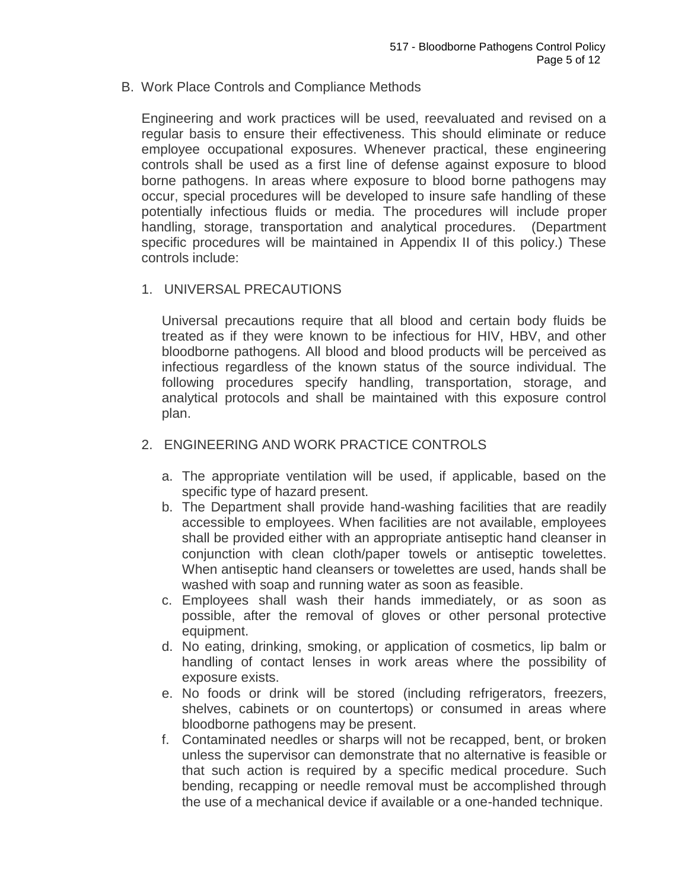B. Work Place Controls and Compliance Methods

Engineering and work practices will be used, reevaluated and revised on a regular basis to ensure their effectiveness. This should eliminate or reduce employee occupational exposures. Whenever practical, these engineering controls shall be used as a first line of defense against exposure to blood borne pathogens. In areas where exposure to blood borne pathogens may occur, special procedures will be developed to insure safe handling of these potentially infectious fluids or media. The procedures will include proper handling, storage, transportation and analytical procedures. (Department specific procedures will be maintained in Appendix II of this policy.) These controls include:

1. UNIVERSAL PRECAUTIONS

Universal precautions require that all blood and certain body fluids be treated as if they were known to be infectious for HIV, HBV, and other bloodborne pathogens. All blood and blood products will be perceived as infectious regardless of the known status of the source individual. The following procedures specify handling, transportation, storage, and analytical protocols and shall be maintained with this exposure control plan.

- 2. ENGINEERING AND WORK PRACTICE CONTROLS
	- a. The appropriate ventilation will be used, if applicable, based on the specific type of hazard present.
	- b. The Department shall provide hand-washing facilities that are readily accessible to employees. When facilities are not available, employees shall be provided either with an appropriate antiseptic hand cleanser in conjunction with clean cloth/paper towels or antiseptic towelettes. When antiseptic hand cleansers or towelettes are used, hands shall be washed with soap and running water as soon as feasible.
	- c. Employees shall wash their hands immediately, or as soon as possible, after the removal of gloves or other personal protective equipment.
	- d. No eating, drinking, smoking, or application of cosmetics, lip balm or handling of contact lenses in work areas where the possibility of exposure exists.
	- e. No foods or drink will be stored (including refrigerators, freezers, shelves, cabinets or on countertops) or consumed in areas where bloodborne pathogens may be present.
	- f. Contaminated needles or sharps will not be recapped, bent, or broken unless the supervisor can demonstrate that no alternative is feasible or that such action is required by a specific medical procedure. Such bending, recapping or needle removal must be accomplished through the use of a mechanical device if available or a one-handed technique.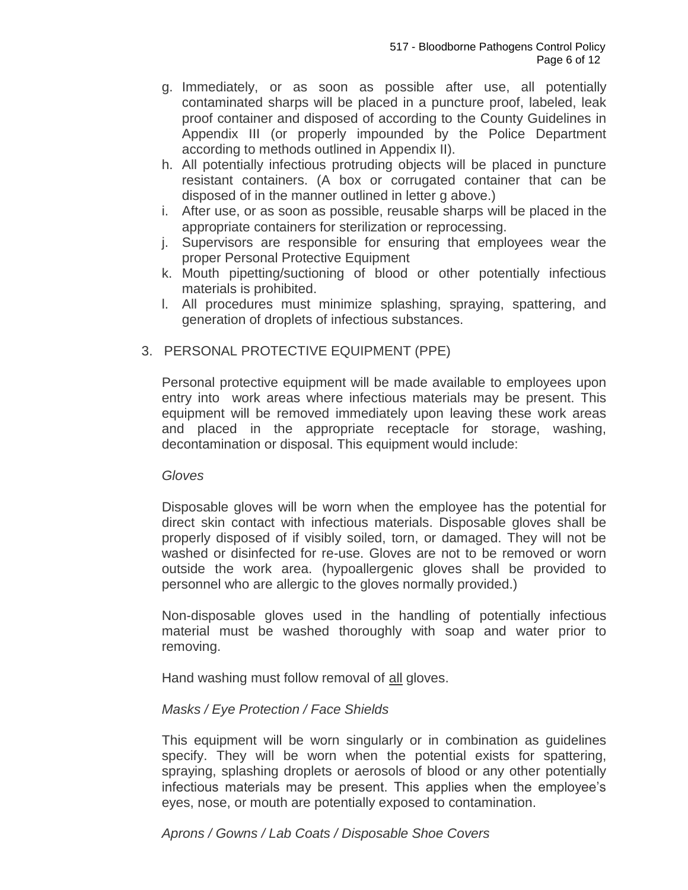- g. Immediately, or as soon as possible after use, all potentially contaminated sharps will be placed in a puncture proof, labeled, leak proof container and disposed of according to the County Guidelines in Appendix III (or properly impounded by the Police Department according to methods outlined in Appendix II).
- h. All potentially infectious protruding objects will be placed in puncture resistant containers. (A box or corrugated container that can be disposed of in the manner outlined in letter g above.)
- i. After use, or as soon as possible, reusable sharps will be placed in the appropriate containers for sterilization or reprocessing.
- j. Supervisors are responsible for ensuring that employees wear the proper Personal Protective Equipment
- k. Mouth pipetting/suctioning of blood or other potentially infectious materials is prohibited.
- l. All procedures must minimize splashing, spraying, spattering, and generation of droplets of infectious substances.

## 3. PERSONAL PROTECTIVE EQUIPMENT (PPE)

Personal protective equipment will be made available to employees upon entry into work areas where infectious materials may be present. This equipment will be removed immediately upon leaving these work areas and placed in the appropriate receptacle for storage, washing, decontamination or disposal. This equipment would include:

#### *Gloves*

Disposable gloves will be worn when the employee has the potential for direct skin contact with infectious materials. Disposable gloves shall be properly disposed of if visibly soiled, torn, or damaged. They will not be washed or disinfected for re-use. Gloves are not to be removed or worn outside the work area. (hypoallergenic gloves shall be provided to personnel who are allergic to the gloves normally provided.)

Non-disposable gloves used in the handling of potentially infectious material must be washed thoroughly with soap and water prior to removing.

Hand washing must follow removal of all gloves.

## *Masks / Eye Protection / Face Shields*

This equipment will be worn singularly or in combination as guidelines specify. They will be worn when the potential exists for spattering, spraying, splashing droplets or aerosols of blood or any other potentially infectious materials may be present. This applies when the employee's eyes, nose, or mouth are potentially exposed to contamination.

## *Aprons / Gowns / Lab Coats / Disposable Shoe Covers*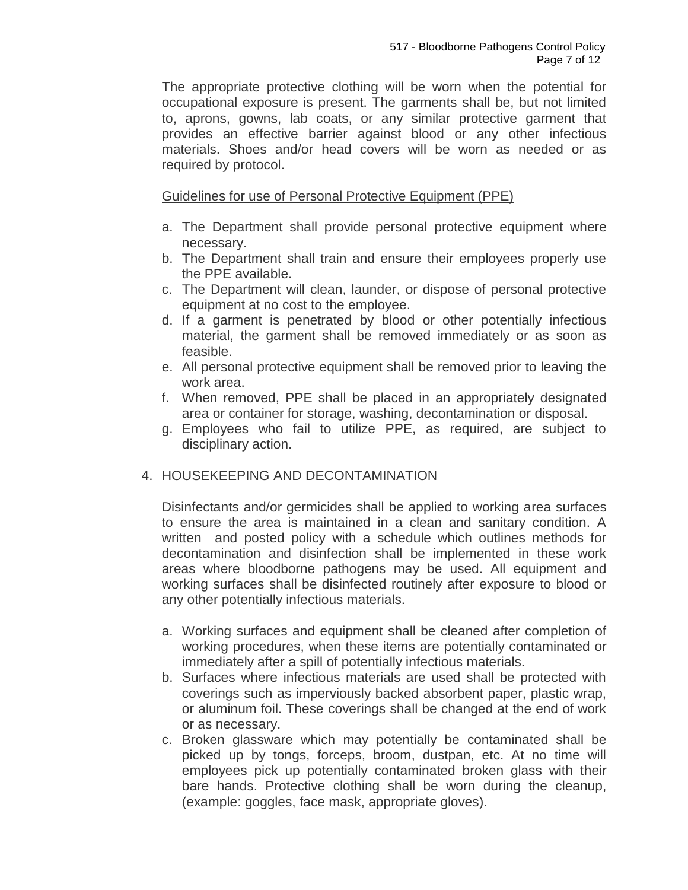The appropriate protective clothing will be worn when the potential for occupational exposure is present. The garments shall be, but not limited to, aprons, gowns, lab coats, or any similar protective garment that provides an effective barrier against blood or any other infectious materials. Shoes and/or head covers will be worn as needed or as required by protocol.

Guidelines for use of Personal Protective Equipment (PPE)

- a. The Department shall provide personal protective equipment where necessary.
- b. The Department shall train and ensure their employees properly use the PPE available.
- c. The Department will clean, launder, or dispose of personal protective equipment at no cost to the employee.
- d. If a garment is penetrated by blood or other potentially infectious material, the garment shall be removed immediately or as soon as feasible.
- e. All personal protective equipment shall be removed prior to leaving the work area.
- f. When removed, PPE shall be placed in an appropriately designated area or container for storage, washing, decontamination or disposal.
- g. Employees who fail to utilize PPE, as required, are subject to disciplinary action.

# 4. HOUSEKEEPING AND DECONTAMINATION

Disinfectants and/or germicides shall be applied to working area surfaces to ensure the area is maintained in a clean and sanitary condition. A written and posted policy with a schedule which outlines methods for decontamination and disinfection shall be implemented in these work areas where bloodborne pathogens may be used. All equipment and working surfaces shall be disinfected routinely after exposure to blood or any other potentially infectious materials.

- a. Working surfaces and equipment shall be cleaned after completion of working procedures, when these items are potentially contaminated or immediately after a spill of potentially infectious materials.
- b. Surfaces where infectious materials are used shall be protected with coverings such as imperviously backed absorbent paper, plastic wrap, or aluminum foil. These coverings shall be changed at the end of work or as necessary.
- c. Broken glassware which may potentially be contaminated shall be picked up by tongs, forceps, broom, dustpan, etc. At no time will employees pick up potentially contaminated broken glass with their bare hands. Protective clothing shall be worn during the cleanup, (example: goggles, face mask, appropriate gloves).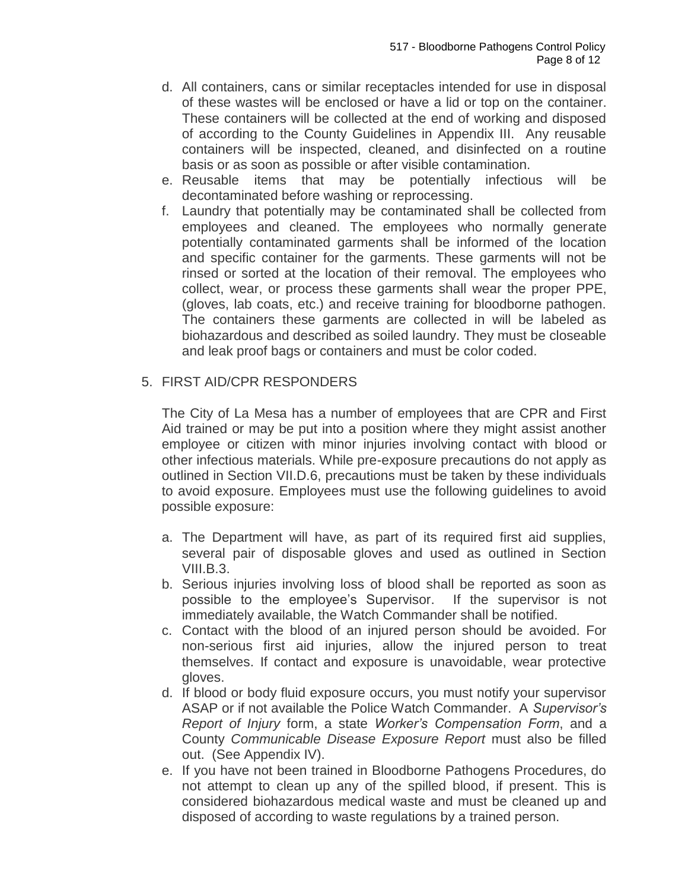- d. All containers, cans or similar receptacles intended for use in disposal of these wastes will be enclosed or have a lid or top on the container. These containers will be collected at the end of working and disposed of according to the County Guidelines in Appendix III. Any reusable containers will be inspected, cleaned, and disinfected on a routine basis or as soon as possible or after visible contamination.
- e. Reusable items that may be potentially infectious will be decontaminated before washing or reprocessing.
- f. Laundry that potentially may be contaminated shall be collected from employees and cleaned. The employees who normally generate potentially contaminated garments shall be informed of the location and specific container for the garments. These garments will not be rinsed or sorted at the location of their removal. The employees who collect, wear, or process these garments shall wear the proper PPE, (gloves, lab coats, etc.) and receive training for bloodborne pathogen. The containers these garments are collected in will be labeled as biohazardous and described as soiled laundry. They must be closeable and leak proof bags or containers and must be color coded.

## 5. FIRST AID/CPR RESPONDERS

The City of La Mesa has a number of employees that are CPR and First Aid trained or may be put into a position where they might assist another employee or citizen with minor injuries involving contact with blood or other infectious materials. While pre-exposure precautions do not apply as outlined in Section VII.D.6, precautions must be taken by these individuals to avoid exposure. Employees must use the following guidelines to avoid possible exposure:

- a. The Department will have, as part of its required first aid supplies, several pair of disposable gloves and used as outlined in Section VIII.B.3.
- b. Serious injuries involving loss of blood shall be reported as soon as possible to the employee's Supervisor. If the supervisor is not immediately available, the Watch Commander shall be notified.
- c. Contact with the blood of an injured person should be avoided. For non-serious first aid injuries, allow the injured person to treat themselves. If contact and exposure is unavoidable, wear protective gloves.
- d. If blood or body fluid exposure occurs, you must notify your supervisor ASAP or if not available the Police Watch Commander. A *Supervisor's Report of Injury* form, a state *Worker's Compensation Form*, and a County *Communicable Disease Exposure Report* must also be filled out. (See Appendix IV).
- e. If you have not been trained in Bloodborne Pathogens Procedures, do not attempt to clean up any of the spilled blood, if present. This is considered biohazardous medical waste and must be cleaned up and disposed of according to waste regulations by a trained person.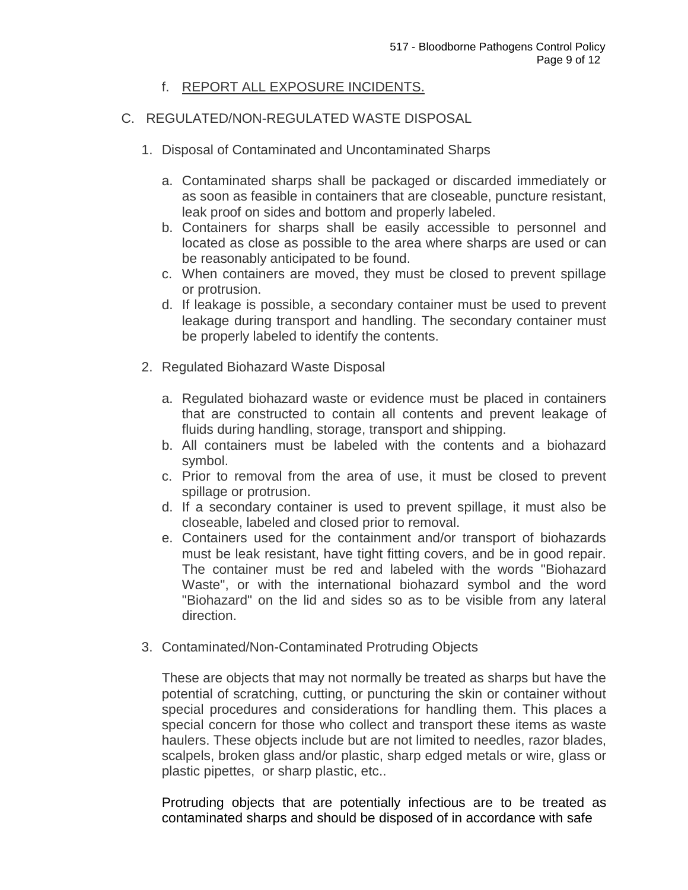# f. REPORT ALL EXPOSURE INCIDENTS.

# C. REGULATED/NON-REGULATED WASTE DISPOSAL

- 1. Disposal of Contaminated and Uncontaminated Sharps
	- a. Contaminated sharps shall be packaged or discarded immediately or as soon as feasible in containers that are closeable, puncture resistant, leak proof on sides and bottom and properly labeled.
	- b. Containers for sharps shall be easily accessible to personnel and located as close as possible to the area where sharps are used or can be reasonably anticipated to be found.
	- c. When containers are moved, they must be closed to prevent spillage or protrusion.
	- d. If leakage is possible, a secondary container must be used to prevent leakage during transport and handling. The secondary container must be properly labeled to identify the contents.
- 2. Regulated Biohazard Waste Disposal
	- a. Regulated biohazard waste or evidence must be placed in containers that are constructed to contain all contents and prevent leakage of fluids during handling, storage, transport and shipping.
	- b. All containers must be labeled with the contents and a biohazard symbol.
	- c. Prior to removal from the area of use, it must be closed to prevent spillage or protrusion.
	- d. If a secondary container is used to prevent spillage, it must also be closeable, labeled and closed prior to removal.
	- e. Containers used for the containment and/or transport of biohazards must be leak resistant, have tight fitting covers, and be in good repair. The container must be red and labeled with the words "Biohazard Waste", or with the international biohazard symbol and the word "Biohazard" on the lid and sides so as to be visible from any lateral direction.
- 3. Contaminated/Non-Contaminated Protruding Objects

These are objects that may not normally be treated as sharps but have the potential of scratching, cutting, or puncturing the skin or container without special procedures and considerations for handling them. This places a special concern for those who collect and transport these items as waste haulers. These objects include but are not limited to needles, razor blades, scalpels, broken glass and/or plastic, sharp edged metals or wire, glass or plastic pipettes, or sharp plastic, etc..

Protruding objects that are potentially infectious are to be treated as contaminated sharps and should be disposed of in accordance with safe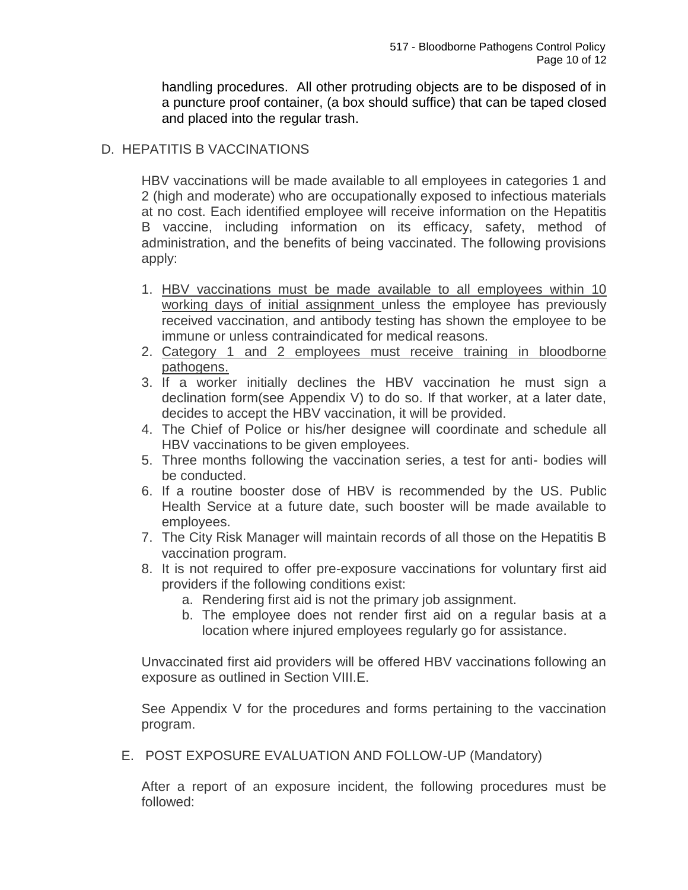handling procedures. All other protruding objects are to be disposed of in a puncture proof container, (a box should suffice) that can be taped closed and placed into the regular trash.

# D. HEPATITIS B VACCINATIONS

HBV vaccinations will be made available to all employees in categories 1 and 2 (high and moderate) who are occupationally exposed to infectious materials at no cost. Each identified employee will receive information on the Hepatitis B vaccine, including information on its efficacy, safety, method of administration, and the benefits of being vaccinated. The following provisions apply:

- 1. HBV vaccinations must be made available to all employees within 10 working days of initial assignment unless the employee has previously received vaccination, and antibody testing has shown the employee to be immune or unless contraindicated for medical reasons.
- 2. Category 1 and 2 employees must receive training in bloodborne pathogens.
- 3. If a worker initially declines the HBV vaccination he must sign a declination form(see Appendix V) to do so. If that worker, at a later date, decides to accept the HBV vaccination, it will be provided.
- 4. The Chief of Police or his/her designee will coordinate and schedule all HBV vaccinations to be given employees.
- 5. Three months following the vaccination series, a test for anti- bodies will be conducted.
- 6. If a routine booster dose of HBV is recommended by the US. Public Health Service at a future date, such booster will be made available to employees.
- 7. The City Risk Manager will maintain records of all those on the Hepatitis B vaccination program.
- 8. It is not required to offer pre-exposure vaccinations for voluntary first aid providers if the following conditions exist:
	- a. Rendering first aid is not the primary job assignment.
	- b. The employee does not render first aid on a regular basis at a location where injured employees regularly go for assistance.

Unvaccinated first aid providers will be offered HBV vaccinations following an exposure as outlined in Section VIII.E.

See Appendix V for the procedures and forms pertaining to the vaccination program.

E. POST EXPOSURE EVALUATION AND FOLLOW-UP (Mandatory)

After a report of an exposure incident, the following procedures must be followed: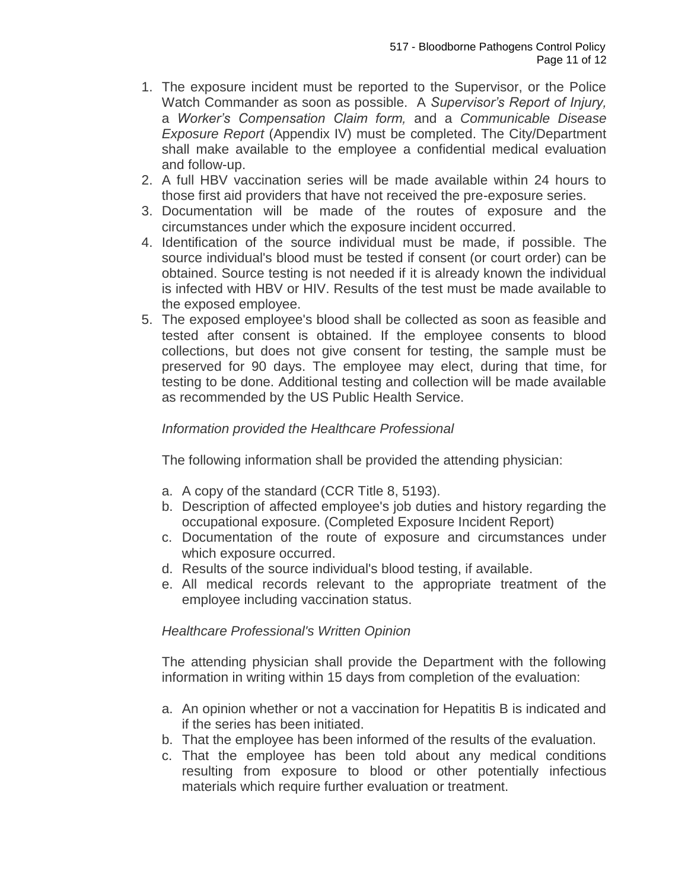- 1. The exposure incident must be reported to the Supervisor, or the Police Watch Commander as soon as possible. A *Supervisor's Report of Injury,*  a *Worker's Compensation Claim form,* and a *Communicable Disease Exposure Report* (Appendix IV) must be completed. The City/Department shall make available to the employee a confidential medical evaluation and follow-up.
- 2. A full HBV vaccination series will be made available within 24 hours to those first aid providers that have not received the pre-exposure series.
- 3. Documentation will be made of the routes of exposure and the circumstances under which the exposure incident occurred.
- 4. Identification of the source individual must be made, if possible. The source individual's blood must be tested if consent (or court order) can be obtained. Source testing is not needed if it is already known the individual is infected with HBV or HIV. Results of the test must be made available to the exposed employee.
- 5. The exposed employee's blood shall be collected as soon as feasible and tested after consent is obtained. If the employee consents to blood collections, but does not give consent for testing, the sample must be preserved for 90 days. The employee may elect, during that time, for testing to be done. Additional testing and collection will be made available as recommended by the US Public Health Service.

# *Information provided the Healthcare Professional*

The following information shall be provided the attending physician:

- a. A copy of the standard (CCR Title 8, 5193).
- b. Description of affected employee's job duties and history regarding the occupational exposure. (Completed Exposure Incident Report)
- c. Documentation of the route of exposure and circumstances under which exposure occurred.
- d. Results of the source individual's blood testing, if available.
- e. All medical records relevant to the appropriate treatment of the employee including vaccination status.

# *Healthcare Professional's Written Opinion*

The attending physician shall provide the Department with the following information in writing within 15 days from completion of the evaluation:

- a. An opinion whether or not a vaccination for Hepatitis B is indicated and if the series has been initiated.
- b. That the employee has been informed of the results of the evaluation.
- c. That the employee has been told about any medical conditions resulting from exposure to blood or other potentially infectious materials which require further evaluation or treatment.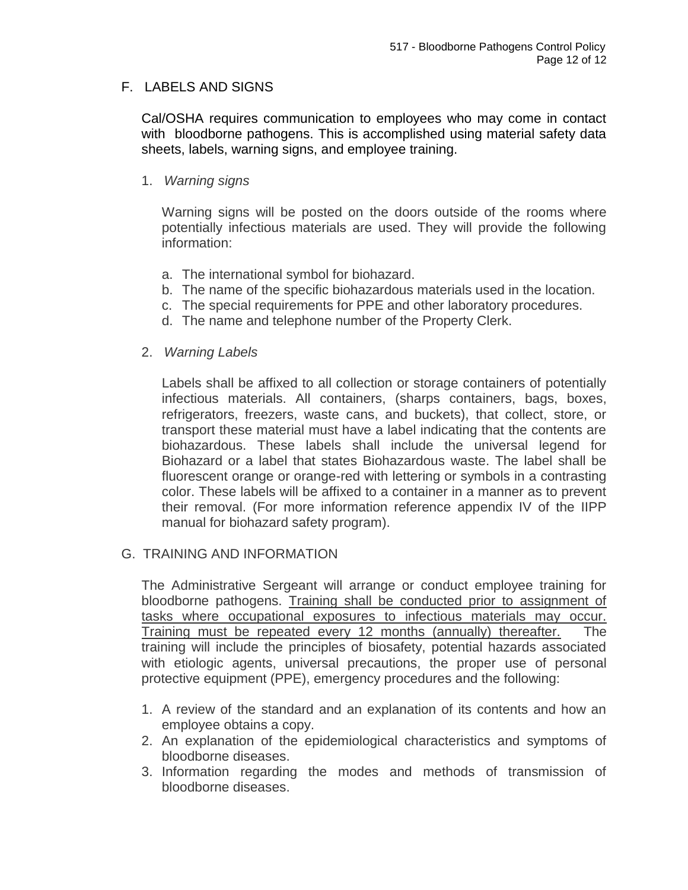## F. LABELS AND SIGNS

Cal/OSHA requires communication to employees who may come in contact with bloodborne pathogens. This is accomplished using material safety data sheets, labels, warning signs, and employee training.

#### 1. *Warning signs*

Warning signs will be posted on the doors outside of the rooms where potentially infectious materials are used. They will provide the following information:

- a. The international symbol for biohazard.
- b. The name of the specific biohazardous materials used in the location.
- c. The special requirements for PPE and other laboratory procedures.
- d. The name and telephone number of the Property Clerk.

#### 2. *Warning Labels*

Labels shall be affixed to all collection or storage containers of potentially infectious materials. All containers, (sharps containers, bags, boxes, refrigerators, freezers, waste cans, and buckets), that collect, store, or transport these material must have a label indicating that the contents are biohazardous. These labels shall include the universal legend for Biohazard or a label that states Biohazardous waste. The label shall be fluorescent orange or orange-red with lettering or symbols in a contrasting color. These labels will be affixed to a container in a manner as to prevent their removal. (For more information reference appendix IV of the IIPP manual for biohazard safety program).

#### G. TRAINING AND INFORMATION

The Administrative Sergeant will arrange or conduct employee training for bloodborne pathogens. Training shall be conducted prior to assignment of tasks where occupational exposures to infectious materials may occur. Training must be repeated every 12 months (annually) thereafter. The training will include the principles of biosafety, potential hazards associated with etiologic agents, universal precautions, the proper use of personal protective equipment (PPE), emergency procedures and the following:

- 1. A review of the standard and an explanation of its contents and how an employee obtains a copy.
- 2. An explanation of the epidemiological characteristics and symptoms of bloodborne diseases.
- 3. Information regarding the modes and methods of transmission of bloodborne diseases.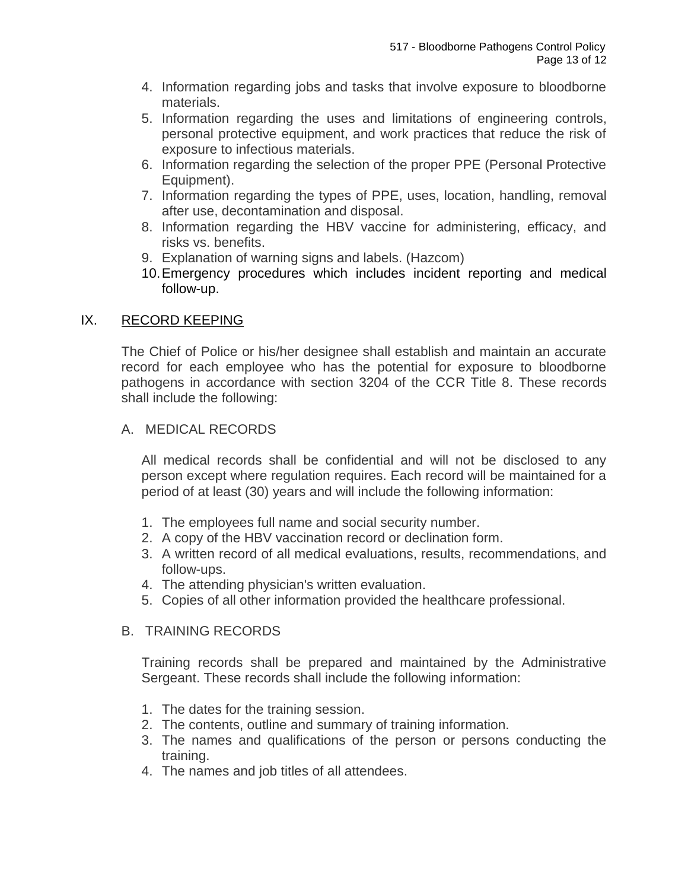- 4. Information regarding jobs and tasks that involve exposure to bloodborne materials.
- 5. Information regarding the uses and limitations of engineering controls, personal protective equipment, and work practices that reduce the risk of exposure to infectious materials.
- 6. Information regarding the selection of the proper PPE (Personal Protective Equipment).
- 7. Information regarding the types of PPE, uses, location, handling, removal after use, decontamination and disposal.
- 8. Information regarding the HBV vaccine for administering, efficacy, and risks vs. benefits.
- 9. Explanation of warning signs and labels. (Hazcom)
- 10.Emergency procedures which includes incident reporting and medical follow-up.

## IX. RECORD KEEPING

The Chief of Police or his/her designee shall establish and maintain an accurate record for each employee who has the potential for exposure to bloodborne pathogens in accordance with section 3204 of the CCR Title 8. These records shall include the following:

A. MEDICAL RECORDS

All medical records shall be confidential and will not be disclosed to any person except where regulation requires. Each record will be maintained for a period of at least (30) years and will include the following information:

- 1. The employees full name and social security number.
- 2. A copy of the HBV vaccination record or declination form.
- 3. A written record of all medical evaluations, results, recommendations, and follow-ups.
- 4. The attending physician's written evaluation.
- 5. Copies of all other information provided the healthcare professional.

## B. TRAINING RECORDS

Training records shall be prepared and maintained by the Administrative Sergeant. These records shall include the following information:

- 1. The dates for the training session.
- 2. The contents, outline and summary of training information.
- 3. The names and qualifications of the person or persons conducting the training.
- 4. The names and job titles of all attendees.